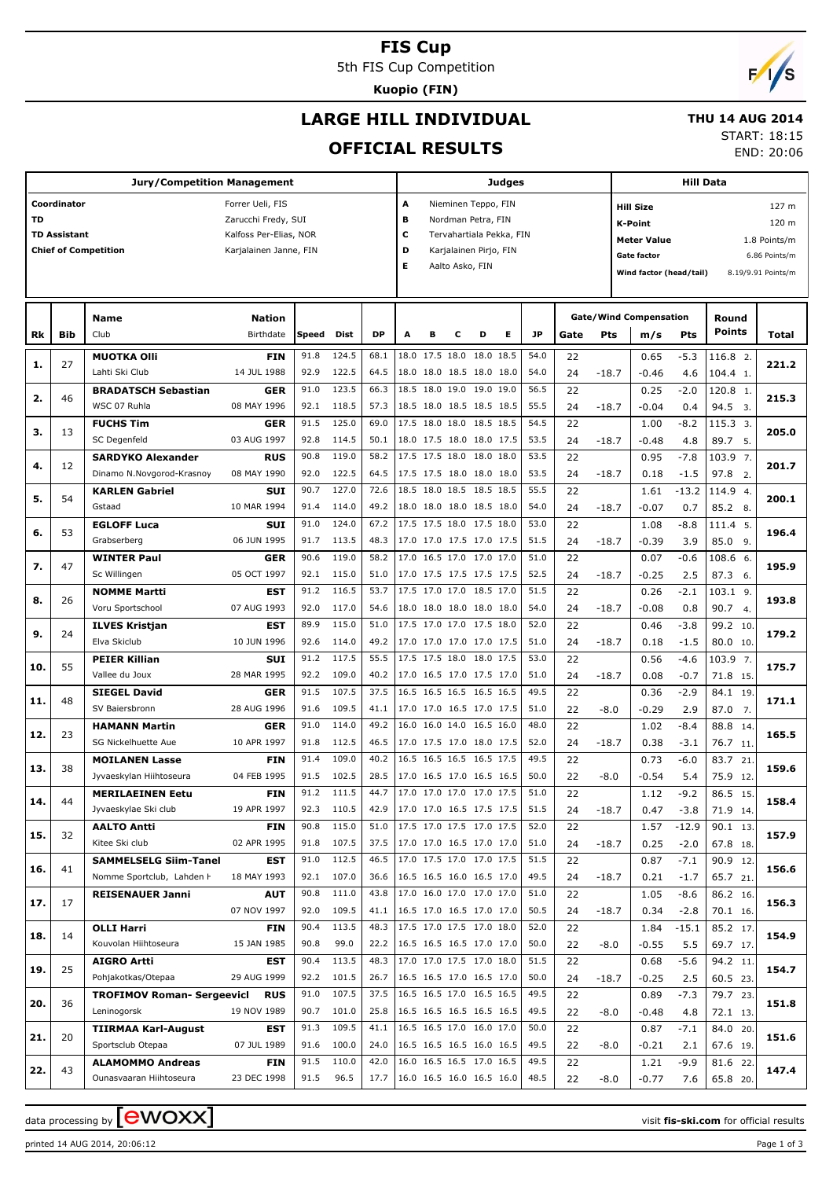## **FIS Cup**

5th FIS Cup Competition

**Kuopio (FIN)**

# **LARGE HILL INDIVIDUAL**

### **THU 14 AUG 2014**

## **OFFICIAL RESULTS**

START: 18:15 END: 20:06

**Jury/Competition Management Coordinator** Forrer Ueli, FIS **TD** Zarucchi Fredy, SUI **TD Assistant** Kalfoss Per-Elias, NOR **Chief of Competition** Karialainen Janne, FIN **Judges A** Nieminen Teppo, FIN **B** Nordman Petra, FIN **C** Tervahartiala Pekka, FIN **D** Karialainen Pirio, FIN **E** Aalto Asko, FIN **Hill Data K-Point** 120 m **Hill Size** 127 m **Meter Value** 1.8 Points/m **Gate factor** 6.86 Points/m **Wind factor (head/tail)** 8.19/9.91 Points/m **Bib Name** Club Birthdate **Nation Rk Speed Dist DP A B C D E JP Total Round m/s Pts Points Gate/Wind Compensation Gate Pts MUOTKA Olli** Lahti Ski Club **FIN** 14 JUL 1988  $27$ 91.8 124.5 | 68.1 |18.0 17.5 18.0 18.0 18.5 | 54.0 | 22 | 0.65 -5.3 |116.8 92.9 122.5 64.5 18.0 18.0 18.5 18.0 18.0 54.0 24 -18.7 -0.46 4.6 104.4 1. 2. **1. 221.2** -5.3 4.6 0.65  $-0.46$  22  $-18.7$ **BRADATSCH Sebastian** WSC 07 Ruhla **GER** 08 MAY 1996 46 91.0 123.5 | 66.3 |18.5 18.0 19.0 19.0 19.0 | 56.5 | 22 | 0.25 -2.0 |120.8 92.1 118.5 57.3 18.5 18.0 18.5 18.5 18.5 55.5 24 -18.7 -0.04 0.4 94.5 3 1. **2. 215.3**  $-2.0$  0.4  $0.25$ -0.04  $\overline{22}$  $-18.7$ **FUCHS Tim** SC Degenfeld **GER** 03 AUG 1997 13 91.5 125.0 69.0 17.5 18.0 18.0 18.5 18.5 54.5 22 1.00 -8.2 115.3 92.8 114.5 | 50.1 |18.0 17.5 18.0 18.0 17.5 | 53.5 | 24 -18.7 | -0.48 4.8 | 89.7 5. 3. **3. 205.0**  $-8.2$  4.8 1.00 -0.48  $\overline{22}$  24 -18.7 **SARDYKO Alexander** Dinamo N.Novgorod-Krasnov **RUS** 08 MAY 1990 12 90.8 119.0 | 58.2 |17.5 17.5 18.0 18.0 18.0 | 53.5 | 22 | 0.95 -7.8 |103.9 92.0 122.5 64.5 17.5 17.5 18.0 18.0 18.0 53.5 24 -18.7 0.18 -1.5 97.8 2. 7. **4. 201.7**  $-7.8$ -1.5 0.95 0.18 22  $-18.7$ **KARLEN Gabriel** Gstaad **SUI** 10 MAR 1994 54 90.7 127.0 72.6 18.5 18.0 18.5 18.5 18.5 55.5 22 1.61 -13.2 114.9 91.4 114.0 49.2 18.0 18.0 18.0 18.5 18.0 54.0 24 -18.7 -0.07 0.7 85.2 8. 4. **5. 200.1**  $-13.2$  0.7 1.61 -0.07  $22$  $-18.7$ **EGLOFF Luca** Grabserberg **SUI** 06 JUN 1995 53 91.0 124.0 67.2 17.5 17.5 18.0 17.5 18.0 53.0 22 1.08 -8.8 111.4 91.7 113.5 48.3 17.0 17.0 17.5 17.0 17.5 51.5  $\overline{)}$  74 -18.7 -0.39 3.9 85.0 9 5. **6. 196.4** -8.8 3.9 1.08 -0.39  $\overline{22}$  $-18.7$ **WINTER Paul** Sc Willingen **GER** 05 OCT 1997 47 90.6 119.0 | 58.2 |17.0 16.5 17.0 17.0 17.0 | 51.0 | 22 | 0.07 -0.6 |108.6 92.1  $115.0$  51.0 17.0 17.5 17.5 17.5 17.5 52.5 24 -18.7 -0.25 2.5 87.3 6. 6. **7. 195.9**  $-0.6$  2.5  $0.07$  $-0.25$ 22  $-18.7$ **NOMME Martti** Voru Sportschool **EST** 07 AUG 1993 26 91.2 116.5 | 53.7 |17.5 17.0 17.0 18.5 17.0 | 51.5 | 22 | 0.26 -2.1 |103.1 92.0 117.0 54.6 18.0 18.0 18.0 18.0 18.0 54.0  $24 -18.7$   $-0.08$  0.8 90.7 4. 9. **8. 193.8** -2.1 0.8 0.26 -0.08  $22$  $-18.7$ **ILVES Kristjan** Elva Skiclub **EST** 10 JUN 1996 24 89.9 115.0 51.0 17.5 17.0 17.0 17.5 18.0 52.0 99.2 92.6 114.0 | 49.2 |17.0 17.0 17.0 17.0 17.5 | 51.0 | 24 -18.7 | 0.18 -1.5 | 80.0 10.  $\overline{10}$ **9. 179.2** -3.8  $-1.5$  $0.46$  0.18  $\overline{22}$  24 -18.7 **PEIER Killian** Vallee du Joux **SUI** 28 MAR 1995 55 91.2 117.5 55.5 17.5 17.5 18.0 18.0 17.5 53.0 22 0.56 -4.6 103.9 92.2 109.0 40.2 17.0 16.5 17.0 17.5 17.0 51.0 24 -18.7 0.08 -0.7 71.8 15 7. **10. 175.7** -4.6 -0.7 0.56 0.08  $22$  $-18.7$ **SIEGEL David** SV Baiersbronn **GER** 28 AUG 1996 48 91.5 107.5 | 37.5 |16.5 16.5 16.5 16.5 | 49.5 | 22 | 0.36 -2.9 | 84.1 91.6 109.5 41.1 17.0 17.0 16.5 17.0 17.5 51.0 22 -8.0 -0.29 2.9 87.0 7 19. **11. 171.1**  $-2.9$  2.9 0.36 -0.29  $\overline{22}$ -8.0 **HAMANN Martin** SG Nickelhuette Aue **GER** 10 APR 1997 23 91.0 114.0 49.2 16.0 16.0 14.0 16.5 16.0 48.0 22 1.02 -8.4 88.8 91.8 112.5 46.5 17.0 17.5 17.0 18.0 17.5 52.0 24 -18.7 0.38 -3.1 76.7 11 14. **12. 165.5**  $-8.4$ -3.1  $1.02$  0.38  $\overline{22}$  $-18.7$ **MOILANEN Lasse** Jyvaeskylan Hiihtoseura **FIN** 04 FEB 1995 38 91.4 109.0 | 40.2 | 16.5 16.5 16.5 16.5 17.5 | 49.5 | 22 | 0.73 -6.0 | 83.7 91.5 102.5 28.5 17.0 16.5 17.0 16.5 16.5 50.0 22 -8.0 -0.54 5.4 75.9 12.  $\overline{21}$ **13. 159.6**  $-6.0$  5.4 0.73 -0.54  $\overline{22}$  $-8.0$ **MERILAEINEN Eetu** Jyvaeskylae Ski club **FIN** 19 APR 1997 44 91.2 111.5 44.7 17.0 17.0 17.0 17.0 17.5 51.0 22 1.12 -9.2 86.5 92.3 110.5 42.9 17.0 17.0 16.5 17.5 17.5 51.5 24 -18.7 0.47 -3.8 71.9 14 15. **14. 158.4** -9 <sup>ጋ</sup> -3.8 1.12 0.47  $\overline{22}$  $-18.7$ **AALTO Antti** Kitee Ski club **FIN** 02 APR 1995 32 90.8 115.0 | 51.0 |17.5 17.0 17.5 17.0 17.5 | 52.0 | 22 | 1.57 -12.9 | 90.1 91.8 107.5 37.5 17.0 17.0 16.5 17.0 17.0 51.0 24 -18.7 0.25 -2.0 67.8 18 13. **15. 157.9**  $-12c$ -2.0 1.57 0.25  $\overline{22}$  $-18.7$ **SAMMELSELG Siim-Tanel** Nomme Sportclub, Lahden H **EST** 18 MAY 1993 41 91.0 112.5 | 46.5 |17.0 17.5 17.0 17.0 17.5 | 51.5 | 22 | 0.87 -7.1 | 90.9 92.1 107.0 | 36.6 |16.5 16.5 16.0 16.5 17.0 | 49.5 | 24 -18.7 | 0.21 -1.7 | 65.7 21. 12. **16. 156.6** -7.1 -1.7 0.87 0.21 22 24 -18.7 **REISENAUER Janni AUT** 07 NOV 1997 17 90.8 111.0 | 43.8 |17.0 16.0 17.0 17.0 |17.0 | 51.0 | 22 | 1.05 -8.6 | 86.2 92.0 109.5 41.1 16.5 17.0 16.5 17.0 17.0 50.5 74 -18.7 0.34 -2.8 70.1 16 16. **17. 156.3**  $-8.6$ -2.8 1.05 0.34  $\overline{22}$  $-18.7$ **OLLI Harri** Kouvolan Hiihtoseura **FIN** 15 JAN 1985 14 90.4 113.5 | 48.3 |17.5 17.0 17.5 17.0 18.0 | 52.0 | 22 | 1.84 -15.1 | 85.2 90.8 99.0 22.2 16.5 16.5 16.5 17.0 17.0 50.0 22 -8.0 -0.55 5.5 69.7 17 17. **18. 154.9**  $-15.1$  5.5 1.84 -0.55  $\overline{22}$  $-8.0$ **AIGRO Artti** Pohjakotkas/Otepaa **EST** 29 AUG 1999 25 90.4 113.5 48.3 17.0 17.0 17.5 17.0 18.0 51.5 22 0.68 -5.6 94.2 92.2 101.5 26.7 16.5 16.5 17.0 16.5 17.0 50.0 60.5 23. 11. **19. 154.7** -5.6  $2.5$  0.68  $-0.25$  $22$  $-18.7$ **TROFIMOV Roman- Sergeevich** Leninogorsk **RUS** 19 NOV 1989 36 91.0 107.5 37.5 16.5 16.5 17.0 16.5 16.5 49.5 22 0.89 -7.3 79.7 90.7 101.0 25.8 16.5 16.5 16.5 16.5 16.5  $\frac{49.5}{32}$  22.30  $\frac{1}{20}$   $\frac{48}{3}$   $\frac{48}{72}$  13 23. **20. 151.8** -7.3 4.8 0.89 -0.48  $\overline{22}$ -8.0 **TIIRMAA Karl-August** Sportsclub Otepaa **EST** 07 JUL 1989 20 91.3 109.5 41.1 16.5 16.5 17.0 16.0 17.0 50.0 22 0.87 -7.1 84.0 91.6 100.0 24.0 16.5 16.5 16.5 16.0 16.5 49.5 22 -8.0 -0.21 2.1 67.6 19 20. **21. 151.6** -7.1 2.1 0.87 -0.21  $22$  $-8.0$ **ALAMOMMO Andreas** Ounasvaaran Hiihtoseura **FIN** 23 DEC 1998 43 91.5 110.0 | 42.0 |16.0 16.5 16.5 17.0 16.5 | 49.5 | 22 | 1.21 -9.9 | 81.6 91.5 96.5 17.7 16.0 16.5 16.0 16.5 16.0 48.5 22 -8.0 -0.77 7.6 65.8 20  $22$ **22. 147.4** -9.9 7.6 1.21 -0.77 22 -8.0

 $\alpha$  data processing by **CWOXX**  $\blacksquare$ 

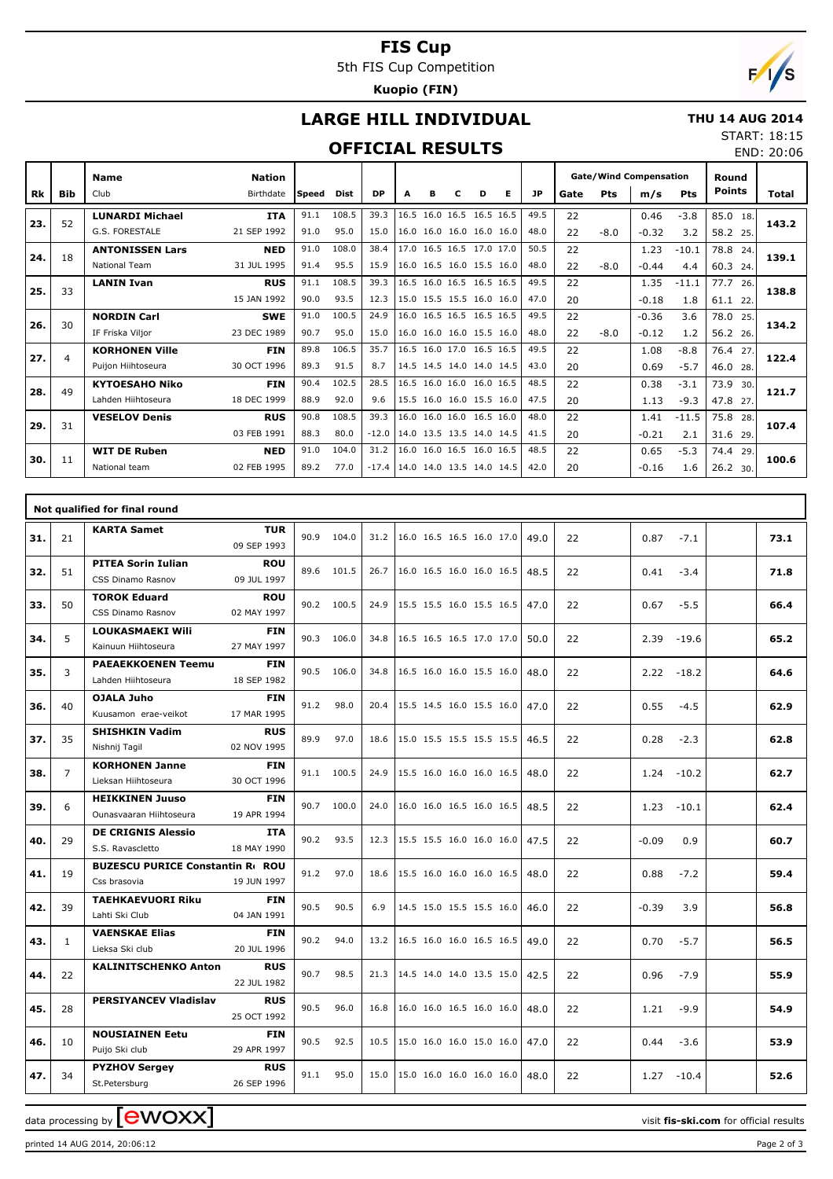# **FIS Cup**

5th FIS Cup Competition

**Kuopio (FIN)**

# $\sqrt{2}$

# **LARGE HILL INDIVIDUAL**

#### **THU 14 AUG 2014** START: 18:15

## **OFFICIAL RESULTS**

| 31 ANI. 10.19 |            |
|---------------|------------|
|               | END: 20:06 |

|           |                | <b>Name</b>            | <b>Nation</b> |              |       |         |   |   |                          |   |                          |           |      |            | <b>Gate/Wind Compensation</b> |            | Round         |       |
|-----------|----------------|------------------------|---------------|--------------|-------|---------|---|---|--------------------------|---|--------------------------|-----------|------|------------|-------------------------------|------------|---------------|-------|
| <b>Rk</b> | <b>Bib</b>     | Club                   | Birthdate     | <b>Speed</b> | Dist  | DP      | A | в | c                        | D | Е                        | <b>JP</b> | Gate | <b>Pts</b> | m/s                           | <b>Pts</b> | <b>Points</b> | Total |
| 23.       | 52             | <b>LUNARDI Michael</b> | <b>ITA</b>    | 91.1         | 108.5 | 39.3    |   |   | 16.5 16.0 16.5 16.5 16.5 |   |                          | 49.5      | 22   |            | 0.46                          | $-3.8$     | 85.0 18.      | 143.2 |
|           |                | G.S. FORESTALE         | 21 SEP 1992   | 91.0         | 95.0  | 15.0    |   |   | 16.0 16.0 16.0 16.0 16.0 |   |                          | 48.0      | 22   | $-8.0$     | $-0.32$                       | 3.2        | 58.2 25.      |       |
| 24.       | 18             | <b>ANTONISSEN Lars</b> | <b>NED</b>    | 91.0         | 108.0 | 38.4    |   |   | 17.0 16.5 16.5 17.0 17.0 |   |                          | 50.5      | 22   |            | 1.23                          | $-10.1$    | 78.8<br>24.   | 139.1 |
|           |                | National Team          | 31 JUL 1995   | 91.4         | 95.5  | 15.9    |   |   | 16.0 16.5 16.0 15.5 16.0 |   |                          | 48.0      | 22   | $-8.0$     | $-0.44$                       | 4.4        | 60.3 24.      |       |
| 25.       | 33             | <b>LANIN Ivan</b>      | <b>RUS</b>    | 91.1         | 108.5 | 39.3    |   |   | 16.5 16.0 16.5 16.5 16.5 |   |                          | 49.5      | 22   |            | 1.35                          | $-11.1$    | 77.7<br>26.   | 138.8 |
|           |                |                        | 15 JAN 1992   | 90.0         | 93.5  | 12.3    |   |   | 15.0 15.5 15.5 16.0 16.0 |   |                          | 47.0      | 20   |            | $-0.18$                       | 1.8        | 61.1<br>22.   |       |
| 26.       | 30             | <b>NORDIN Carl</b>     | <b>SWE</b>    | 91.0         | 100.5 | 24.9    |   |   | 16.0 16.5 16.5 16.5 16.5 |   |                          | 49.5      | 22   |            | $-0.36$                       | 3.6        | 78.0<br>25.   | 134.2 |
|           |                | IF Friska Vilior       | 23 DEC 1989   | 90.7         | 95.0  | 15.0    |   |   | 16.0 16.0 16.0 15.5 16.0 |   |                          | 48.0      | 22   | $-8.0$     | $-0.12$                       | 1.2        | 56.2 26.      |       |
| 27.       | $\overline{a}$ | <b>KORHONEN Ville</b>  | <b>FIN</b>    | 89.8         | 106.5 | 35.7    |   |   | 16.5 16.0 17.0 16.5 16.5 |   |                          | 49.5      | 22   |            | 1.08                          | $-8.8$     | 76.4<br>27.   | 122.4 |
|           |                | Puijon Hiihtoseura     | 30 OCT 1996   | 89.3         | 91.5  | 8.7     |   |   | 14.5 14.5 14.0 14.0 14.5 |   |                          | 43.0      | 20   |            | 0.69                          | $-5.7$     | 46.0 28.      |       |
| 28.       | 49             | <b>KYTOESAHO Niko</b>  | <b>FIN</b>    | 90.4         | 102.5 | 28.5    |   |   | 16.5 16.0 16.0 16.0 16.5 |   |                          | 48.5      | 22   |            | 0.38                          | $-3.1$     | 73.9<br>30.   | 121.7 |
|           |                | Lahden Hiihtoseura     | 18 DEC 1999   | 88.9         | 92.0  | 9.6     |   |   | 15.5 16.0 16.0 15.5 16.0 |   |                          | 47.5      | 20   |            | 1.13                          | $-9.3$     | 47.8 27.      |       |
| 29.       | 31             | <b>VESELOV Denis</b>   | <b>RUS</b>    | 90.8         | 108.5 | 39.3    |   |   | 16.0 16.0 16.0 16.5 16.0 |   |                          | 48.0      | 22   |            | 1.41                          | $-11.5$    | 75.8<br>28.   | 107.4 |
|           |                |                        | 03 FEB 1991   | 88.3         | 80.0  | $-12.0$ |   |   |                          |   | 14.0 13.5 13.5 14.0 14.5 | 41.5      | 20   |            | $-0.21$                       | 2.1        | 31.6 29.      |       |
| 30.       | 11             | <b>WIT DE Ruben</b>    | <b>NED</b>    | 91.0         | 104.0 | 31.2    |   |   | 16.0 16.0 16.5 16.0 16.5 |   |                          | 48.5      | 22   |            | 0.65                          | $-5.3$     | 74.4<br>29.   | 100.6 |
|           |                | National team          | 02 FEB 1995   | 89.2         | 77.0  | $-17.4$ |   |   |                          |   | 14.0 14.0 13.5 14.0 14.5 | 42.0      | 20   |            | $-0.16$                       | 1.6        | 26.2 30.      |       |

|     |                | Not qualified for final round                          |                           |      |            |      |                                      |  |      |    |                 |      |
|-----|----------------|--------------------------------------------------------|---------------------------|------|------------|------|--------------------------------------|--|------|----|-----------------|------|
| 31. | 21             | <b>KARTA Samet</b>                                     | <b>TUR</b><br>09 SEP 1993 | 90.9 | 104.0      | 31.2 | 16.0 16.5 16.5 16.0 17.0             |  | 49.0 | 22 | 0.87<br>$-7.1$  | 73.1 |
| 32. | 51             | <b>PITEA Sorin Iulian</b><br>CSS Dinamo Rasnov         | <b>ROU</b><br>09 JUL 1997 |      | 89.6 101.5 | 26.7 | 16.0 16.5 16.0 16.0 16.5             |  | 48.5 | 22 | 0.41<br>$-3.4$  | 71.8 |
| 33. | 50             | <b>TOROK Eduard</b><br>CSS Dinamo Rasnov               | <b>ROU</b><br>02 MAY 1997 |      | 90.2 100.5 | 24.9 | 15.5 15.5 16.0 15.5 16.5             |  | 47.0 | 22 | $-5.5$<br>0.67  | 66.4 |
| 34. | 5              | <b>LOUKASMAEKI Wili</b><br>Kainuun Hiihtoseura         | <b>FIN</b><br>27 MAY 1997 |      | 90.3 106.0 | 34.8 | 16.5 16.5 16.5 17.0 17.0             |  | 50.0 | 22 | 2.39<br>$-19.6$ | 65.2 |
| 35. | 3              | <b>PAEAEKKOENEN Teemu</b><br>Lahden Hiihtoseura        | <b>FIN</b><br>18 SEP 1982 |      | 90.5 106.0 | 34.8 | 16.5 16.0 16.0 15.5 16.0             |  | 48.0 | 22 | 2.22<br>$-18.2$ | 64.6 |
| 36. | 40             | OJALA Juho<br>Kuusamon erae-veikot                     | <b>FIN</b><br>17 MAR 1995 | 91.2 | 98.0       | 20.4 | $ 15.5 \t14.5 \t16.0 \t15.5 \t16.0 $ |  | 47.0 | 22 | 0.55<br>$-4.5$  | 62.9 |
| 37. | 35             | <b>SHISHKIN Vadim</b><br>Nishnij Tagil                 | <b>RUS</b><br>02 NOV 1995 | 89.9 | 97.0       | 18.6 | 15.0 15.5 15.5 15.5 15.5             |  | 46.5 | 22 | 0.28<br>$-2.3$  | 62.8 |
| 38. | $\overline{7}$ | <b>KORHONEN Janne</b><br>Lieksan Hiihtoseura           | <b>FIN</b><br>30 OCT 1996 | 91.1 | 100.5      | 24.9 | 15.5 16.0 16.0 16.0 16.5             |  | 48.0 | 22 | 1.24<br>$-10.2$ | 62.7 |
| 39. | 6              | <b>HEIKKINEN Juuso</b><br>Ounasvaaran Hiihtoseura      | <b>FIN</b><br>19 APR 1994 |      | 90.7 100.0 | 24.0 | 16.0 16.0 16.5 16.0 16.5             |  | 48.5 | 22 | 1.23<br>$-10.1$ | 62.4 |
| 40. | 29             | <b>DE CRIGNIS Alessio</b><br>S.S. Ravascletto          | <b>ITA</b><br>18 MAY 1990 | 90.2 | 93.5       | 12.3 | 15.5 15.5 16.0 16.0 16.0             |  | 47.5 | 22 | $-0.09$<br>0.9  | 60.7 |
| 41. | 19             | <b>BUZESCU PURICE Constantin R</b> ROU<br>Css brasovia | 19 JUN 1997               | 91.2 | 97.0       | 18.6 | 15.5 16.0 16.0 16.0 16.5             |  | 48.0 | 22 | 0.88<br>$-7.2$  | 59.4 |
| 42. | 39             | <b>TAEHKAEVUORI Riku</b><br>Lahti Ski Club             | <b>FIN</b><br>04 JAN 1991 | 90.5 | 90.5       | 6.9  | 14.5 15.0 15.5 15.5 16.0             |  | 46.0 | 22 | $-0.39$<br>3.9  | 56.8 |
| 43. | $\mathbf{1}$   | <b>VAENSKAE Elias</b><br>Lieksa Ski club               | <b>FIN</b><br>20 JUL 1996 | 90.2 | 94.0       | 13.2 | 16.5 16.0 16.0 16.5 16.5             |  | 49.0 | 22 | 0.70<br>$-5.7$  | 56.5 |
| 44. | 22             | <b>KALINITSCHENKO Anton</b>                            | <b>RUS</b><br>22 JUL 1982 | 90.7 | 98.5       | 21.3 | 14.5 14.0 14.0 13.5 15.0             |  | 42.5 | 22 | 0.96<br>$-7.9$  | 55.9 |
| 45. | 28             | <b>PERSIYANCEV Vladislav</b>                           | <b>RUS</b><br>25 OCT 1992 | 90.5 | 96.0       | 16.8 | 16.0 16.0 16.5 16.0 16.0             |  | 48.0 | 22 | 1.21<br>$-9.9$  | 54.9 |
| 46. | 10             | <b>NOUSIAINEN Eetu</b><br>Puijo Ski club               | <b>FIN</b><br>29 APR 1997 | 90.5 | 92.5       | 10.5 | 15.0 16.0 16.0 15.0 16.0             |  | 47.0 | 22 | 0.44<br>$-3.6$  | 53.9 |
| 47. | 34             | <b>PYZHOV Sergey</b><br>St.Petersburg                  | <b>RUS</b><br>26 SEP 1996 | 91.1 | 95.0       | 15.0 | 15.0 16.0 16.0 16.0 16.0             |  | 48.0 | 22 | 1.27<br>$-10.4$ | 52.6 |

data processing by **CWOXX**  $\blacksquare$